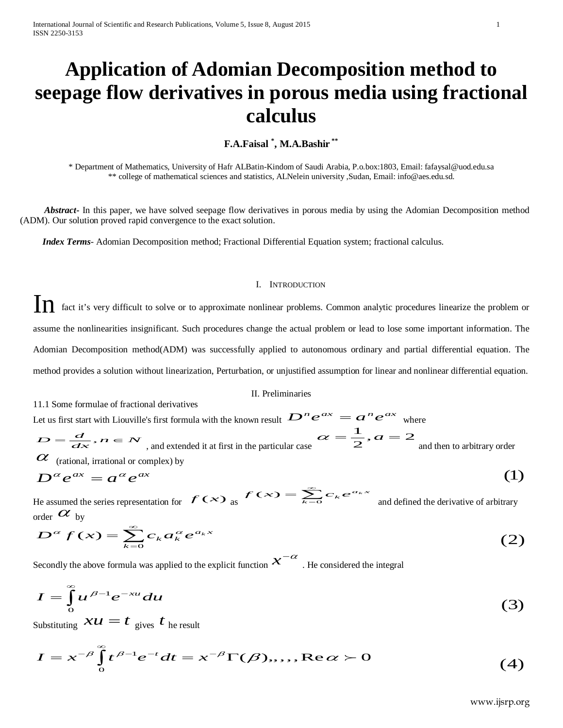# **Application of Adomian Decomposition method to seepage flow derivatives in porous media using fractional calculus**

## **F.A.Faisal \* , M.A.Bashir \*\***

\* Department of Mathematics, University of Hafr ALBatin-Kindom of Saudi Arabia, P.o.box:1803, Email: fafaysal@uod.edu.sa \*\* college of mathematical sciences and statistics, ALNelein university ,Sudan, Email: info@aes.edu.sd.

 *Abstract***-** In this paper, we have solved seepage flow derivatives in porous media by using the Adomian Decomposition method (ADM). Our solution proved rapid convergence to the exact solution.

 *Index Terms*- Adomian Decomposition method; Fractional Differential Equation system; fractional calculus.

## I. INTRODUCTION

In fact it's very difficult to solve or to approximate nonlinear problems. Common analytic procedures linearize the problem or assume the nonlinearities insignificant. Such procedures change the actual problem or lead to lose some important information. The Adomian Decomposition method(ADM) was successfully applied to autonomous ordinary and partial differential equation. The method provides a solution without linearization, Perturbation, or unjustified assumption for linear and nonlinear differential equation.

## II. Preliminaries

11.1 Some formulae of fractional derivatives Let us first start with Liouville's first formula with the known result  $D^n e^{ax} = a^n e^{ax}$  where  $D=\frac{d}{dx}$  ,  $n \in \mathcal{N}$  <sub>, and</sub> extended it at first in the particular case  $\alpha=\frac{1}{2}$  ,  $a=2$  $\alpha = \frac{1}{2}, \alpha = 2$  and then to arbitrary order  $\alpha$  (rational, irrational or complex) by

$$
D^{\alpha} e^{ax} = a^{\alpha} e^{ax}
$$
 (1)  
He assumed the series representation for  $f(x)$  as  $f(x) = \sum_{k=0}^{\infty} c_k e^{a_k x}$  and defined the derivative of arbitrary

 $f(x) = \sum_{k=0}^{\infty} c_k e^{a_k x}$  and defined the derivative of arbitrary order  $\alpha$  by

order 
$$
\omega
$$
 by  
\n
$$
D^{\alpha} f(x) = \sum_{k=0}^{\infty} c_k a_k^{\alpha} e^{a_k x}
$$
\n(2)

Secondly the above formula was applied to the explicit function  $\chi^{-\alpha}$  . He considered the integral

$$
I = \int_{0}^{\infty} u^{\beta - 1} e^{-xu} du
$$
 (3)

Substituting  $\mathcal{X}U = t$  gives t he result

$$
I = x^{-\beta} \int_{0}^{\infty} t^{\beta - 1} e^{-t} dt = x^{-\beta} \Gamma(\beta), \dots, \text{Re}\,\alpha > 0
$$
 (4)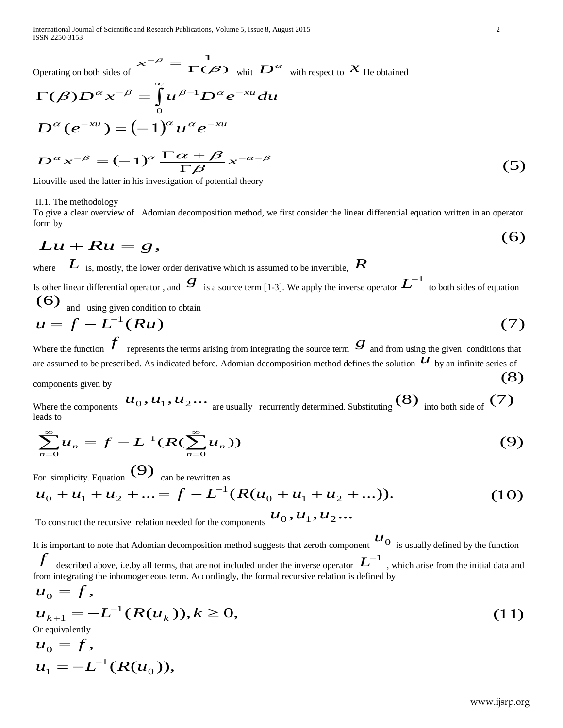International Journal of Scientific and Research Publications, Volume 5, Issue 8, August 2015 2 ISSN 2250-3153

Operating on both sides of  $x^{-\beta} = \frac{1}{\Gamma(\beta)}$  $\frac{1}{\sqrt{1}}$  $\bm{\beta}$ β  $x^{-\beta} = \frac{1}{\Gamma(\beta)} \Big|_{\text{whit}} D^{\alpha} \Big|_{\text{with respect to}} x$  He obtained

$$
\Gamma(\beta)D^{\alpha}x^{-\beta} = \int_{0}^{\infty} u^{\beta-1}D^{\alpha}e^{-xu}du
$$
  
\n
$$
D^{\alpha}(e^{-xu}) = (-1)^{\alpha}u^{\alpha}e^{-xu}
$$
  
\n
$$
D^{\alpha}x^{-\beta} = (-1)^{\alpha}\frac{\Gamma\alpha+\beta}{\Gamma\beta}x^{-\alpha-\beta}
$$
\n(5)

Liouville used the latter in his investigation of potential theory

II.1. The methodology

To give a clear overview of Adomian decomposition method, we first consider the linear differential equation written in an operator form by

$$
Lu + Ru = g, \tag{6}
$$

where *L* is, mostly, the lower order derivative which is assumed to be invertible,  $R$ 

Is other linear differential operator, and  $g$  is a source term [1-3]. We apply the inverse operator  $L^{-1}$  to both sides of equation  $(6)$  and using given condition to obtain

$$
u = f - L^{-1}(Ru)
$$
 (7)

Where the function  $\mathcal{J}$  represents the terms arising from integrating the source term  $\mathcal{S}$  and from using the given conditions that are assumed to be prescribed. As indicated before. Adomian decomposition method defines the solution  $u$  by an infinite series of components given by (8)

components given by<br>Where the components  $u_0, u_1, u_2, \ldots$  are usually recurrently determined. Substituting (8) into both side of (7) leads to

$$
\sum_{n=0}^{\infty} u_n = f - L^{-1}(R(\sum_{n=0}^{\infty} u_n))
$$
\n(9)

For simplicity. Equation  $(9)$  can be rewritten as

$$
u_0 + u_1 + u_2 + \dots = f - L^{-1}(R(u_0 + u_1 + u_2 + \dots)).
$$
 (10)

To construct the recursive relation needed for the components  $u_0, u_1, u_2...$ 

It is important to note that Adomian decomposition method suggests that zeroth component  $u_0$  is usually defined by the function  $f$  described above, i.e.by all terms, that are not included under the inverse operator  $L^{-1}$ , which arise from the initial data and from integrating the inhomogeneous term. Accordingly, the formal recursive relation is defined by

$$
u_0 = f,
$$
  
\n
$$
u_{k+1} = -L^{-1}(R(u_k)), k \ge 0,
$$
  
\nOr equivalently (11)

Or equivalently

$$
u_0 = f,
$$
  

$$
u_1 = -L^{-1}(R(u_0)),
$$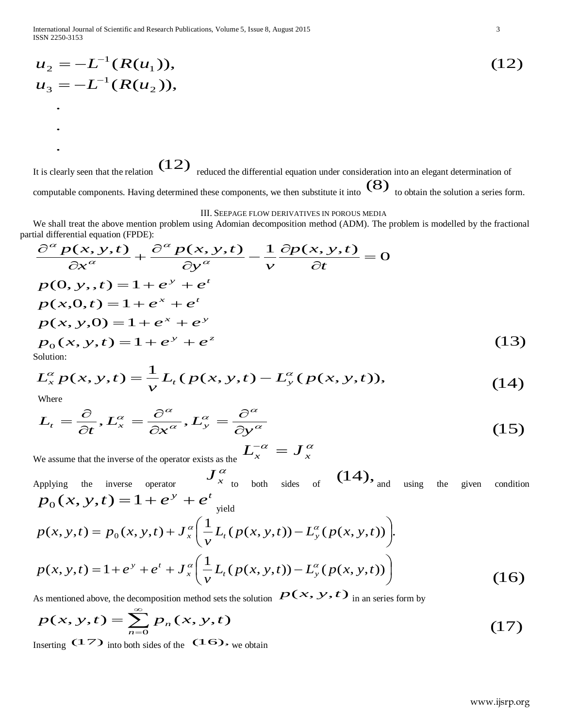International Journal of Scientific and Research Publications, Volume 5, Issue 8, August 2015 3 ISSN 2250-3153

$$
u_2 = -L^{-1}(R(u_1)),
$$
  
\n
$$
u_3 = -L^{-1}(R(u_2)),
$$
  
\n
$$
...
$$
  
\n(12)

It is clearly seen that the relation  $(12)$  reduced the differential equation under consideration into an elegant determination of computable components. Having determined these components, we then substitute it into  $(8)$  to obtain the solution a series form.

## III. SEEPAGE FLOW DERIVATIVES IN POROUS MEDIA

We shall treat the above mention problem using Adomian decomposition method (ADM). The problem is modelled by the fractional

partial differential equation (FPDE):  
\n
$$
\frac{\partial^{\alpha} p(x, y, t)}{\partial x^{\alpha}} + \frac{\partial^{\alpha} p(x, y, t)}{\partial y^{\alpha}} - \frac{1}{v} \frac{\partial p(x, y, t)}{\partial t} = 0
$$
\n
$$
p(0, y, t) = 1 + e^{y} + e^{t}
$$
\n
$$
p(x, 0, t) = 1 + e^{x} + e^{t}
$$
\n
$$
p(x, y, 0) = 1 + e^{x} + e^{y}
$$
\n
$$
p_0(x, y, t) = 1 + e^{y} + e^{z}
$$
\nSolution:  
\nSolution: (13)

$$
L_x^{\alpha} p(x, y, t) = \frac{1}{\nu} L_t (p(x, y, t) - L_y^{\alpha} (p(x, y, t)),
$$
\nwhere (14)

.

.

$$
L_t = \frac{\partial}{\partial t}, L_x^{\alpha} = \frac{\partial^{\alpha}}{\partial x^{\alpha}}, L_y^{\alpha} = \frac{\partial^{\alpha}}{\partial y^{\alpha}}
$$
(15)

We assume that the inverse of the operator exists as the  $L_x^{-\alpha} = J_x^{\alpha}$ 

Applying the inverse operator  $J^\alpha_{x}$  to both sides of  $(14)$ , and using the given condition  $p_0(x, y, t) = 1 + e^y + e^t$ <sub>yield</sub>

$$
p(x, y, t) = p_0(x, y, t) + J_x^{\alpha} \left( \frac{1}{v} L_t(p(x, y, t)) - L_y^{\alpha}(p(x, y, t)) \right).
$$
  

$$
p(x, y, t) = 1 + e^{y} + e^{t} + J_x^{\alpha} \left( \frac{1}{v} L_t(p(x, y, t)) - L_y^{\alpha}(p(x, y, t)) \right)
$$
 (16)

As mentioned above, the decomposition method sets the solution  $P(x, y, t)$  in an series form by

$$
p(x, y, t) = \sum_{n=0}^{\infty} p_n(x, y, t)
$$
 (17)

Inserting  $(17)$  into both sides of the  $(16)$ , we obtain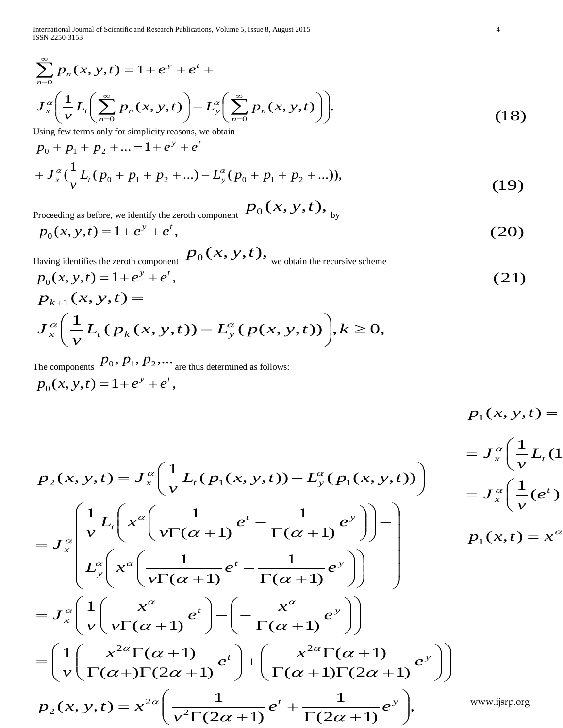International Journal of Scientific and Research Publications, Volume 5, Issue 8, August 2015 4 ISSN 2250-3153

$$
\sum_{n=0}^{\infty} p_n(x, y, t) = 1 + e^{y} + e^{t} +
$$
\n
$$
J_x^{\alpha} \left( \frac{1}{v} L_t \left( \sum_{n=0}^{\infty} p_n(x, y, t) \right) - L_y^{\alpha} \left( \sum_{n=0}^{\infty} p_n(x, y, t) \right) \right).
$$
\nUsing few terms only for simplicity reasons, we obtain

Using few terms only for simplicity reasons, we obtain

$$
p_0 + p_1 + p_2 + \dots = 1 + e^{y} + e^{t}
$$
  
+ 
$$
J_x^{\alpha} \left(\frac{1}{v} L_t (p_0 + p_1 + p_2 + \dots) - L_y^{\alpha} (p_0 + p_1 + p_2 + \dots) \right),
$$
 (19)

Proceeding as before, we identify the zeroth component  $\left. P_0(x,y,t), \right.$   $_{\rm by}$ 

$$
p_0(x, y, t) = 1 + e^y + e^t,
$$
\n(20)

Having identifies the zeroth component  $\;p_0^{}(x,y,t),\;$  we obtain the recursive scheme

$$
p_0(x, y, t) = 1 + e^y + e^t,
$$
\n(21)

$$
p_{k+1}(x, y, t) =
$$
  

$$
J_x^{\alpha} \left( \frac{1}{v} L_t (p_k(x, y, t)) - L_y^{\alpha} (p(x, y, t)) \right), k \ge 0,
$$

The components  $p_0, p_1, p_2, \dots$  are thus determined as follows:  $p_0(x, y, t) = 1 + e^y + e^t$ ,

$$
p_1(x, y, t) = p_1(x, y, t) = P_1(x, y, t)
$$
\n
$$
= J_x^{\alpha} \left( \frac{1}{v} L_t (p_1(x, y, t)) - L_y^{\alpha} (p_1(x, y, t)) \right)
$$
\n
$$
= J_x^{\alpha} \left( \frac{1}{v} L_t (x^{a} \left( \frac{1}{v\Gamma(\alpha + 1)} e^{t} - \frac{1}{\Gamma(\alpha + 1)} e^{y} \right) \right) - \int_{-\infty}^{\infty} \left( \frac{1}{v} L_t (e^{t}) \right)
$$
\n
$$
= J_x^{\alpha} \left( \frac{1}{v} L_t \left( x^{a} \left( \frac{1}{v\Gamma(\alpha + 1)} e^{t} - \frac{1}{\Gamma(\alpha + 1)} e^{y} \right) \right) - \int_{-\infty}^{\infty} \left( \frac{1}{v} L_t (e^{t}) \frac{1}{v\Gamma(\alpha + 1)} e^{t} - \frac{1}{\Gamma(\alpha + 1)} e^{y} \right) \right)
$$
\n
$$
= J_x^{\alpha} \left( \frac{1}{v} \left( \frac{x^{a}}{v\Gamma(\alpha + 1)} e^{t} \right) - \left( -\frac{x^{a}}{\Gamma(\alpha + 1)} e^{y} \right) \right)
$$
\n
$$
= \left( \frac{1}{v} \left( \frac{x^{2a} \Gamma(\alpha + 1)}{\Gamma(\alpha + 1)} e^{t} \right) + \left( \frac{x^{2a} \Gamma(\alpha + 1)}{\Gamma(\alpha + 1)} e^{y} \right) \right)
$$
\n
$$
p_2(x, y, t) = x^{2a} \left( \frac{1}{v^2 \Gamma(2\alpha + 1)} e^{t} + \frac{1}{\Gamma(2\alpha + 1)} e^{y} \right), \qquad \text{www.ijsprog}
$$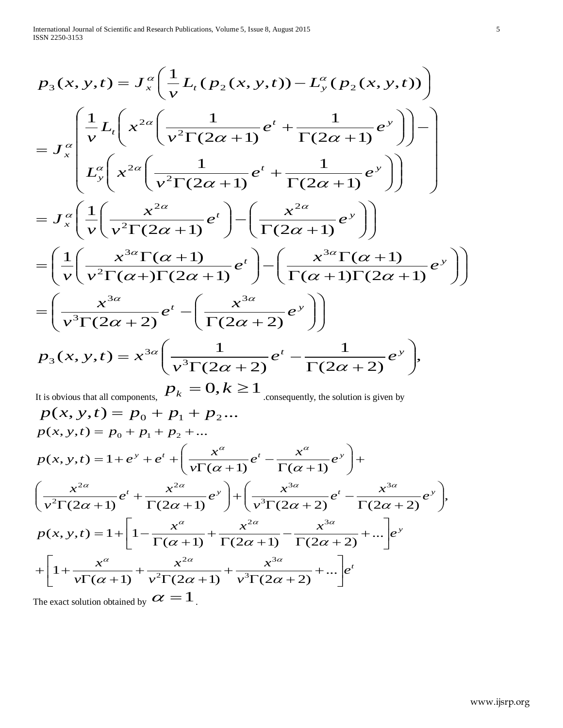$$
p_3(x, y, t) = J_x^{\alpha} \left( \frac{1}{v} L_t (p_2(x, y, t)) - L_y^{\alpha} (p_2(x, y, t)) \right)
$$
  
\n
$$
= J_x^{\alpha} \left( \frac{1}{v} L_t \left( x^{2\alpha} \left( \frac{1}{v^2 \Gamma(2\alpha + 1)} e^{t} + \frac{1}{\Gamma(2\alpha + 1)} e^{y} \right) \right) - \left( \frac{1}{v^2} \left( x^{2\alpha} \left( \frac{1}{v^2 \Gamma(2\alpha + 1)} e^{t} + \frac{1}{\Gamma(2\alpha + 1)} e^{y} \right) \right) \right) \right)
$$
  
\n
$$
= J_x^{\alpha} \left( \frac{1}{v} \left( \frac{x^{2\alpha}}{v^2 \Gamma(2\alpha + 1)} e^{t} \right) - \left( \frac{x^{2\alpha}}{\Gamma(2\alpha + 1)} e^{y} \right) \right)
$$
  
\n
$$
= \left( \frac{1}{v} \left( \frac{x^{3\alpha} \Gamma(\alpha + 1)}{v^2 \Gamma(\alpha + 1)} e^{t} \right) - \left( \frac{x^{3\alpha} \Gamma(\alpha + 1)}{\Gamma(\alpha + 1)} e^{y} \right) \right)
$$
  
\n
$$
= \left( \frac{x^{3\alpha}}{v^3 \Gamma(2\alpha + 2)} e^{t} - \left( \frac{x^{3\alpha}}{\Gamma(2\alpha + 2)} e^{y} \right) \right)
$$
  
\n
$$
p_3(x, y, t) = x^{3\alpha} \left( \frac{1}{v^3 \Gamma(2\alpha + 2)} e^{t} - \frac{1}{\Gamma(2\alpha + 2)} e^{y} \right),
$$
  
\n
$$
p_3(x, y, t) = x^{3\alpha} \left( \frac{1}{v^3 \Gamma(2\alpha + 2)} e^{t} - \frac{1}{\Gamma(2\alpha + 2)} e^{y} \right),
$$

It is obvious that all components,  $p_k = 0, k \ge 1$  consequently, the solution is given by  $p(x, y, t) = p_0 + p_1 + p_2...$ *t e*  $p(x, y, t) = 1 + \left[1 - \frac{x^{\alpha}}{\Gamma(\alpha + 1)} + \frac{x^{2\alpha}}{\Gamma(2\alpha + 1)} - \frac{x^{3\alpha}}{\Gamma(2\alpha + 2)} + \dots \right]e^{y}$  $\left(x^{2} + \frac{x^{2\alpha}}{\Gamma(2 - x^{2})}e^{y}\right) + \left(\frac{x^{3\alpha}}{\Gamma(2 - x^{2})}e^{t} - \frac{x^{3\alpha}}{\Gamma(2 - x^{2})}e^{y}\right)$  $y'' + e^{t} + \left( \frac{x^{\alpha}}{\Gamma(\alpha+1)} e^{t} - \frac{x^{\alpha}}{\Gamma(\alpha+1)} e^{y} \right)$ *v x v x v x v*  $e^{t} + \frac{x^{2\alpha}}{\Gamma(2\alpha+1)}e^{y} + \left(\frac{x}{\sqrt{3\Gamma(2\alpha+1)}}\right)$ *v x v*  $p(x, y, t) = 1 + e^{y} + e^{t} + \left( \frac{x^{\alpha}}{y \Gamma(\alpha + 1)} e^{t} - \frac{x^{\alpha}}{\Gamma(\alpha + 1)} e^{y} \right) +$  $p(x, y, t) = p_0 + p_1 + p_2 + ...$  $\overline{\phantom{a}}$  $\rfloor$  $\left[1+\frac{x^{\alpha}}{v\Gamma(\alpha+1)}+\frac{x^{2\alpha}}{v^{2}\Gamma(2\alpha+1)}+\frac{x^{3\alpha}}{v^{3}\Gamma(2\alpha+2)}+...\right]$  $\lfloor$  $\sqrt{2}$ +  $\sqrt{\Gamma(2\alpha + \Gamma)}$ +  $\sqrt{\Gamma(2\alpha + \Gamma)}$  $^{+}$  $\frac{}{\Gamma(\alpha +)}$ +  $1 + \frac{x^2}{\nu \Gamma(\alpha + 1)} + \frac{x^{2}}{\nu^2 \Gamma(2\alpha + 1)} + \frac{x^{2}}{\nu^3 \Gamma(2\alpha + 2)} + ...$  $\rfloor$  $\left[1-\frac{x^{\alpha}}{\Gamma(\alpha+1)}+\frac{x^{2\alpha}}{\Gamma(2\alpha+1)}-\frac{x^{3\alpha}}{\Gamma(2\alpha+2)}+...\right]$ L  $\overline{\phantom{0}}$  $f(x, y, t) = 1 + \left[ 1 - \frac{x^{\alpha}}{\Gamma(\alpha + 1)} + \frac{x^{2\alpha}}{\Gamma(2\alpha + 1)} - \frac{x^{3\alpha}}{\Gamma(2\alpha + 2)} + \dots \right]$  $\left(\right)$  $\setminus$  $\overline{(\ }$  $+\left(\frac{x^{3\alpha}}{v^3\Gamma(2\alpha+2)}e^{t}-\frac{x^{3\alpha}}{\Gamma(2\alpha+2)}\right)$  $\int$  $\overline{\phantom{0}}$  $\left(\right)$  $\setminus$  $\overline{(\ }$  $\sqrt{\Gamma(2\alpha + \Gamma)}$  $^{+}$  $\frac{x^{2\alpha}}{\Gamma(2\alpha+1)}e^{t}+\frac{x^{2\alpha}}{\Gamma(2\alpha+1)}e^{y}\Bigg)+\Bigg(\frac{x^{3\alpha}}{\nu^{3}\Gamma(2\alpha+2)}e^{t}-\frac{x^{3\alpha}}{\Gamma(2\alpha+2)}e^{y}\Bigg),$  $\int$  $\overline{\phantom{0}}$  $\left(\right)$  $\setminus$  $\overline{(\ }$  $F(x, y, t) = 1 + e^{y} + e^{t} + \left( \frac{x^{2}}{y \Gamma(\alpha + 1)} e^{t} - \frac{x^{2}}{\Gamma(\alpha + 1)} \right)$ 3 2 2 3  $2\alpha$  )  $\left($   $x^3\right)$  $\overline{2}$ 2  $\alpha + 1$   $v = 1(2\alpha + 1)$   $v = 1(2\alpha$  $\alpha$  + 1)  $1(2\alpha$  + 1)  $1(2\alpha$  $\alpha + 1$   $(2\alpha + 1)$   $( \nu + 1(2\alpha + 2)$   $(2\alpha$  $\alpha$  2 $\alpha$  3 $\alpha$  $\alpha$  2 $\alpha$  3 $\alpha$  $\alpha$  and  $2\alpha$  and  $1$  and  $3\alpha$  and  $3\alpha$  $\alpha$  and  $\alpha$ The exact solution obtained by  $\alpha = 1$ .

 $\begin{matrix} \end{matrix}$  $\int$ 

 $\overline{\phantom{0}}$